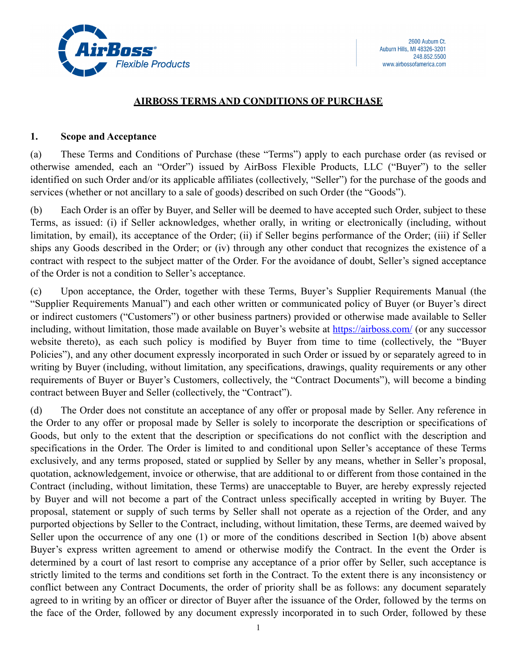

### **AIRBOSS TERMS AND CONDITIONS OF PURCHASE**

#### **1. Scope and Acceptance**

(a) These Terms and Conditions of Purchase (these "Terms") apply to each purchase order (as revised or otherwise amended, each an "Order") issued by AirBoss Flexible Products, LLC ("Buyer") to the seller identified on such Order and/or its applicable affiliates (collectively, "Seller") for the purchase of the goods and services (whether or not ancillary to a sale of goods) described on such Order (the "Goods").

(b) Each Order is an offer by Buyer, and Seller will be deemed to have accepted such Order, subject to these Terms, as issued: (i) if Seller acknowledges, whether orally, in writing or electronically (including, without limitation, by email), its acceptance of the Order; (ii) if Seller begins performance of the Order; (iii) if Seller ships any Goods described in the Order; or (iv) through any other conduct that recognizes the existence of a contract with respect to the subject matter of the Order. For the avoidance of doubt, Seller's signed acceptance of the Order is not a condition to Seller's acceptance.

(c) Upon acceptance, the Order, together with these Terms, Buyer's Supplier Requirements Manual (the "Supplier Requirements Manual") and each other written or communicated policy of Buyer (or Buyer's direct or indirect customers ("Customers") or other business partners) provided or otherwise made available to Seller including, without limitation, those made available on Buyer's website at <https://airboss.com/>(or any successor website thereto), as each such policy is modified by Buyer from time to time (collectively, the "Buyer Policies"), and any other document expressly incorporated in such Order or issued by or separately agreed to in writing by Buyer (including, without limitation, any specifications, drawings, quality requirements or any other requirements of Buyer or Buyer's Customers, collectively, the "Contract Documents"), will become a binding contract between Buyer and Seller (collectively, the "Contract").

(d) The Order does not constitute an acceptance of any offer or proposal made by Seller. Any reference in the Order to any offer or proposal made by Seller is solely to incorporate the description or specifications of Goods, but only to the extent that the description or specifications do not conflict with the description and specifications in the Order. The Order is limited to and conditional upon Seller's acceptance of these Terms exclusively, and any terms proposed, stated or supplied by Seller by any means, whether in Seller's proposal, quotation, acknowledgement, invoice or otherwise, that are additional to or different from those contained in the Contract (including, without limitation, these Terms) are unacceptable to Buyer, are hereby expressly rejected by Buyer and will not become a part of the Contract unless specifically accepted in writing by Buyer. The proposal, statement or supply of such terms by Seller shall not operate as a rejection of the Order, and any purported objections by Seller to the Contract, including, without limitation, these Terms, are deemed waived by Seller upon the occurrence of any one (1) or more of the conditions described in Section 1(b) above absent Buyer's express written agreement to amend or otherwise modify the Contract. In the event the Order is determined by a court of last resort to comprise any acceptance of a prior offer by Seller, such acceptance is strictly limited to the terms and conditions set forth in the Contract. To the extent there is any inconsistency or conflict between any Contract Documents, the order of priority shall be as follows: any document separately agreed to in writing by an officer or director of Buyer after the issuance of the Order, followed by the terms on the face of the Order, followed by any document expressly incorporated in to such Order, followed by these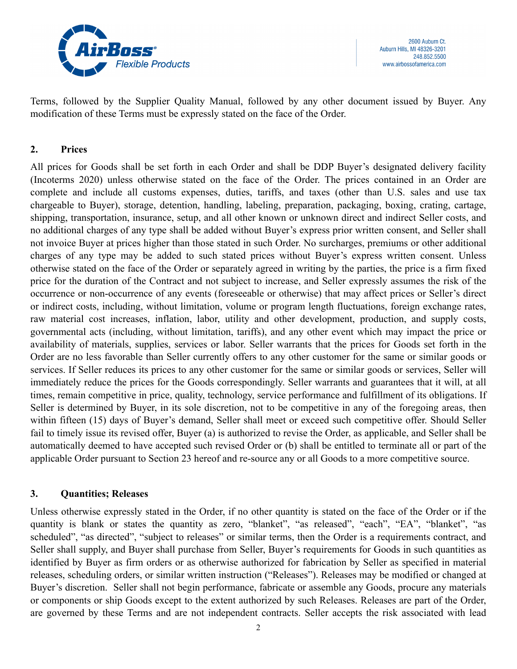

Terms, followed by the Supplier Quality Manual, followed by any other document issued by Buyer. Any modification of these Terms must be expressly stated on the face of the Order.

#### **2. Prices**

All prices for Goods shall be set forth in each Order and shall be DDP Buyer's designated delivery facility (Incoterms 2020) unless otherwise stated on the face of the Order. The prices contained in an Order are complete and include all customs expenses, duties, tariffs, and taxes (other than U.S. sales and use tax chargeable to Buyer), storage, detention, handling, labeling, preparation, packaging, boxing, crating, cartage, shipping, transportation, insurance, setup, and all other known or unknown direct and indirect Seller costs, and no additional charges of any type shall be added without Buyer's express prior written consent, and Seller shall not invoice Buyer at prices higher than those stated in such Order. No surcharges, premiums or other additional charges of any type may be added to such stated prices without Buyer's express written consent. Unless otherwise stated on the face of the Order or separately agreed in writing by the parties, the price is a firm fixed price for the duration of the Contract and not subject to increase, and Seller expressly assumes the risk of the occurrence or non-occurrence of any events (foreseeable or otherwise) that may affect prices or Seller's direct or indirect costs, including, without limitation, volume or program length fluctuations, foreign exchange rates, raw material cost increases, inflation, labor, utility and other development, production, and supply costs, governmental acts (including, without limitation, tariffs), and any other event which may impact the price or availability of materials, supplies, services or labor. Seller warrants that the prices for Goods set forth in the Order are no less favorable than Seller currently offers to any other customer for the same or similar goods or services. If Seller reduces its prices to any other customer for the same or similar goods or services, Seller will immediately reduce the prices for the Goods correspondingly. Seller warrants and guarantees that it will, at all times, remain competitive in price, quality, technology, service performance and fulfillment of its obligations. If Seller is determined by Buyer, in its sole discretion, not to be competitive in any of the foregoing areas, then within fifteen (15) days of Buyer's demand, Seller shall meet or exceed such competitive offer. Should Seller fail to timely issue its revised offer, Buyer (a) is authorized to revise the Order, as applicable, and Seller shall be automatically deemed to have accepted such revised Order or (b) shall be entitled to terminate all or part of the applicable Order pursuant to Section 23 hereof and re-source any or all Goods to a more competitive source.

### **3. Quantities; Releases**

Unless otherwise expressly stated in the Order, if no other quantity is stated on the face of the Order or if the quantity is blank or states the quantity as zero, "blanket", "as released", "each", "EA", "blanket", "as scheduled", "as directed", "subject to releases" or similar terms, then the Order is a requirements contract, and Seller shall supply, and Buyer shall purchase from Seller, Buyer's requirements for Goods in such quantities as identified by Buyer as firm orders or as otherwise authorized for fabrication by Seller as specified in material releases, scheduling orders, or similar written instruction ("Releases"). Releases may be modified or changed at Buyer's discretion. Seller shall not begin performance, fabricate or assemble any Goods, procure any materials or components or ship Goods except to the extent authorized by such Releases. Releases are part of the Order, are governed by these Terms and are not independent contracts. Seller accepts the risk associated with lead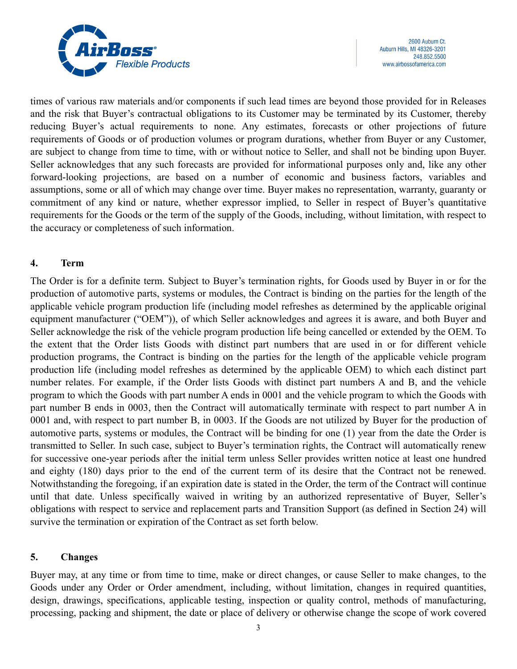

times of various raw materials and/or components if such lead times are beyond those provided for in Releases and the risk that Buyer's contractual obligations to its Customer may be terminated by its Customer, thereby reducing Buyer's actual requirements to none. Any estimates, forecasts or other projections of future requirements of Goods or of production volumes or program durations, whether from Buyer or any Customer, are subject to change from time to time, with or without notice to Seller, and shall not be binding upon Buyer. Seller acknowledges that any such forecasts are provided for informational purposes only and, like any other forward-looking projections, are based on a number of economic and business factors, variables and assumptions, some or all of which may change over time. Buyer makes no representation, warranty, guaranty or commitment of any kind or nature, whether expressor implied, to Seller in respect of Buyer's quantitative requirements for the Goods or the term of the supply of the Goods, including, without limitation, with respect to the accuracy or completeness of such information.

### **4. Term**

The Order is for a definite term. Subject to Buyer's termination rights, for Goods used by Buyer in or for the production of automotive parts, systems or modules, the Contract is binding on the parties for the length of the applicable vehicle program production life (including model refreshes as determined by the applicable original equipment manufacturer ("OEM")), of which Seller acknowledges and agrees it is aware, and both Buyer and Seller acknowledge the risk of the vehicle program production life being cancelled or extended by the OEM. To the extent that the Order lists Goods with distinct part numbers that are used in or for different vehicle production programs, the Contract is binding on the parties for the length of the applicable vehicle program production life (including model refreshes as determined by the applicable OEM) to which each distinct part number relates. For example, if the Order lists Goods with distinct part numbers A and B, and the vehicle program to which the Goods with part number A ends in 0001 and the vehicle program to which the Goods with part number B ends in 0003, then the Contract will automatically terminate with respect to part number A in 0001 and, with respect to part number B, in 0003. If the Goods are not utilized by Buyer for the production of automotive parts, systems or modules, the Contract will be binding for one (1) year from the date the Order is transmitted to Seller. In such case, subject to Buyer's termination rights, the Contract will automatically renew for successive one-year periods after the initial term unless Seller provides written notice at least one hundred and eighty (180) days prior to the end of the current term of its desire that the Contract not be renewed. Notwithstanding the foregoing, if an expiration date is stated in the Order, the term of the Contract will continue until that date. Unless specifically waived in writing by an authorized representative of Buyer, Seller's obligations with respect to service and replacement parts and Transition Support (as defined in Section 24) will survive the termination or expiration of the Contract as set forth below.

# **5. Changes**

Buyer may, at any time or from time to time, make or direct changes, or cause Seller to make changes, to the Goods under any Order or Order amendment, including, without limitation, changes in required quantities, design, drawings, specifications, applicable testing, inspection or quality control, methods of manufacturing, processing, packing and shipment, the date or place of delivery or otherwise change the scope of work covered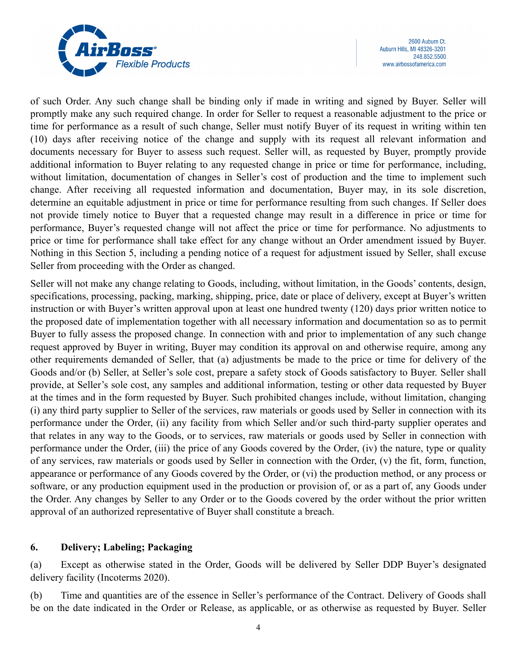

of such Order. Any such change shall be binding only if made in writing and signed by Buyer. Seller will promptly make any such required change. In order for Seller to request a reasonable adjustment to the price or time for performance as a result of such change, Seller must notify Buyer of its request in writing within ten (10) days after receiving notice of the change and supply with its request all relevant information and documents necessary for Buyer to assess such request. Seller will, as requested by Buyer, promptly provide additional information to Buyer relating to any requested change in price or time for performance, including, without limitation, documentation of changes in Seller's cost of production and the time to implement such change. After receiving all requested information and documentation, Buyer may, in its sole discretion, determine an equitable adjustment in price or time for performance resulting from such changes. If Seller does not provide timely notice to Buyer that a requested change may result in a difference in price or time for performance, Buyer's requested change will not affect the price or time for performance. No adjustments to price or time for performance shall take effect for any change without an Order amendment issued by Buyer. Nothing in this Section 5, including a pending notice of a request for adjustment issued by Seller, shall excuse Seller from proceeding with the Order as changed.

Seller will not make any change relating to Goods, including, without limitation, in the Goods' contents, design, specifications, processing, packing, marking, shipping, price, date or place of delivery, except at Buyer's written instruction or with Buyer's written approval upon at least one hundred twenty (120) days prior written notice to the proposed date of implementation together with all necessary information and documentation so as to permit Buyer to fully assess the proposed change. In connection with and prior to implementation of any such change request approved by Buyer in writing, Buyer may condition its approval on and otherwise require, among any other requirements demanded of Seller, that (a) adjustments be made to the price or time for delivery of the Goods and/or (b) Seller, at Seller's sole cost, prepare a safety stock of Goods satisfactory to Buyer. Seller shall provide, at Seller's sole cost, any samples and additional information, testing or other data requested by Buyer at the times and in the form requested by Buyer. Such prohibited changes include, without limitation, changing (i) any third party supplier to Seller of the services, raw materials or goods used by Seller in connection with its performance under the Order, (ii) any facility from which Seller and/or such third-party supplier operates and that relates in any way to the Goods, or to services, raw materials or goods used by Seller in connection with performance under the Order, (iii) the price of any Goods covered by the Order, (iv) the nature, type or quality of any services, raw materials or goods used by Seller in connection with the Order, (v) the fit, form, function, appearance or performance of any Goods covered by the Order, or (vi) the production method, or any process or software, or any production equipment used in the production or provision of, or as a part of, any Goods under the Order. Any changes by Seller to any Order or to the Goods covered by the order without the prior written approval of an authorized representative of Buyer shall constitute a breach.

# **6. Delivery; Labeling; Packaging**

(a) Except as otherwise stated in the Order, Goods will be delivered by Seller DDP Buyer's designated delivery facility (Incoterms 2020).

(b) Time and quantities are of the essence in Seller's performance of the Contract. Delivery of Goods shall be on the date indicated in the Order or Release, as applicable, or as otherwise as requested by Buyer. Seller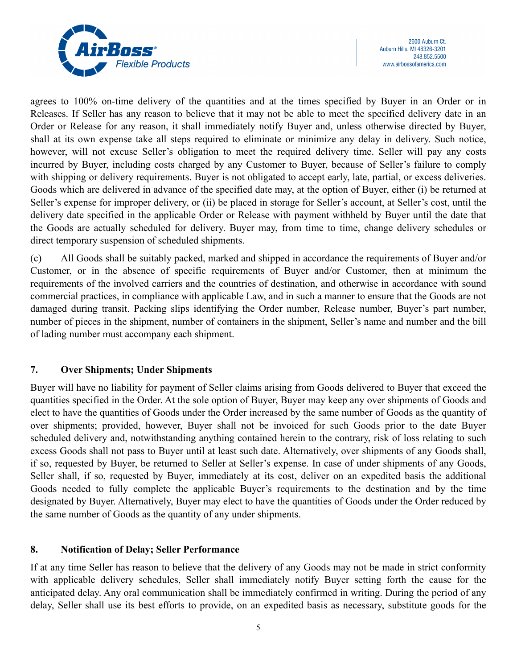

agrees to 100% on-time delivery of the quantities and at the times specified by Buyer in an Order or in Releases. If Seller has any reason to believe that it may not be able to meet the specified delivery date in an Order or Release for any reason, it shall immediately notify Buyer and, unless otherwise directed by Buyer, shall at its own expense take all steps required to eliminate or minimize any delay in delivery. Such notice, however, will not excuse Seller's obligation to meet the required delivery time. Seller will pay any costs incurred by Buyer, including costs charged by any Customer to Buyer, because of Seller's failure to comply with shipping or delivery requirements. Buyer is not obligated to accept early, late, partial, or excess deliveries. Goods which are delivered in advance of the specified date may, at the option of Buyer, either (i) be returned at Seller's expense for improper delivery, or (ii) be placed in storage for Seller's account, at Seller's cost, until the delivery date specified in the applicable Order or Release with payment withheld by Buyer until the date that the Goods are actually scheduled for delivery. Buyer may, from time to time, change delivery schedules or direct temporary suspension of scheduled shipments.

(c) All Goods shall be suitably packed, marked and shipped in accordance the requirements of Buyer and/or Customer, or in the absence of specific requirements of Buyer and/or Customer, then at minimum the requirements of the involved carriers and the countries of destination, and otherwise in accordance with sound commercial practices, in compliance with applicable Law, and in such a manner to ensure that the Goods are not damaged during transit. Packing slips identifying the Order number, Release number, Buyer's part number, number of pieces in the shipment, number of containers in the shipment, Seller's name and number and the bill of lading number must accompany each shipment.

# **7. Over Shipments; Under Shipments**

Buyer will have no liability for payment of Seller claims arising from Goods delivered to Buyer that exceed the quantities specified in the Order. At the sole option of Buyer, Buyer may keep any over shipments of Goods and elect to have the quantities of Goods under the Order increased by the same number of Goods as the quantity of over shipments; provided, however, Buyer shall not be invoiced for such Goods prior to the date Buyer scheduled delivery and, notwithstanding anything contained herein to the contrary, risk of loss relating to such excess Goods shall not pass to Buyer until at least such date. Alternatively, over shipments of any Goods shall, if so, requested by Buyer, be returned to Seller at Seller's expense. In case of under shipments of any Goods, Seller shall, if so, requested by Buyer, immediately at its cost, deliver on an expedited basis the additional Goods needed to fully complete the applicable Buyer's requirements to the destination and by the time designated by Buyer. Alternatively, Buyer may elect to have the quantities of Goods under the Order reduced by the same number of Goods as the quantity of any under shipments.

# **8. Notification of Delay; Seller Performance**

If at any time Seller has reason to believe that the delivery of any Goods may not be made in strict conformity with applicable delivery schedules, Seller shall immediately notify Buyer setting forth the cause for the anticipated delay. Any oral communication shall be immediately confirmed in writing. During the period of any delay, Seller shall use its best efforts to provide, on an expedited basis as necessary, substitute goods for the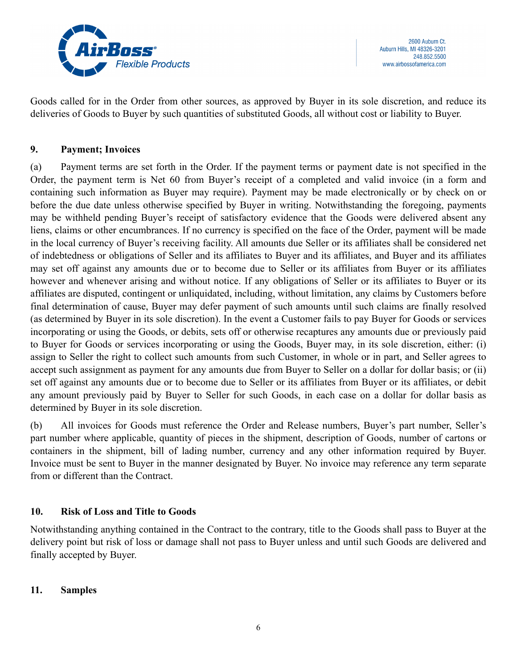

Goods called for in the Order from other sources, as approved by Buyer in its sole discretion, and reduce its deliveries of Goods to Buyer by such quantities of substituted Goods, all without cost or liability to Buyer.

### **9. Payment; Invoices**

(a) Payment terms are set forth in the Order. If the payment terms or payment date is not specified in the Order, the payment term is Net 60 from Buyer's receipt of a completed and valid invoice (in a form and containing such information as Buyer may require). Payment may be made electronically or by check on or before the due date unless otherwise specified by Buyer in writing. Notwithstanding the foregoing, payments may be withheld pending Buyer's receipt of satisfactory evidence that the Goods were delivered absent any liens, claims or other encumbrances. If no currency is specified on the face of the Order, payment will be made in the local currency of Buyer's receiving facility. All amounts due Seller or its affiliates shall be considered net of indebtedness or obligations of Seller and its affiliates to Buyer and its affiliates, and Buyer and its affiliates may set off against any amounts due or to become due to Seller or its affiliates from Buyer or its affiliates however and whenever arising and without notice. If any obligations of Seller or its affiliates to Buyer or its affiliates are disputed, contingent or unliquidated, including, without limitation, any claims by Customers before final determination of cause, Buyer may defer payment of such amounts until such claims are finally resolved (as determined by Buyer in its sole discretion). In the event a Customer fails to pay Buyer for Goods or services incorporating or using the Goods, or debits, sets off or otherwise recaptures any amounts due or previously paid to Buyer for Goods or services incorporating or using the Goods, Buyer may, in its sole discretion, either: (i) assign to Seller the right to collect such amounts from such Customer, in whole or in part, and Seller agrees to accept such assignment as payment for any amounts due from Buyer to Seller on a dollar for dollar basis; or (ii) set off against any amounts due or to become due to Seller or its affiliates from Buyer or its affiliates, or debit any amount previously paid by Buyer to Seller for such Goods, in each case on a dollar for dollar basis as determined by Buyer in its sole discretion.

(b) All invoices for Goods must reference the Order and Release numbers, Buyer's part number, Seller's part number where applicable, quantity of pieces in the shipment, description of Goods, number of cartons or containers in the shipment, bill of lading number, currency and any other information required by Buyer. Invoice must be sent to Buyer in the manner designated by Buyer. No invoice may reference any term separate from or different than the Contract.

# **10. Risk of Loss and Title to Goods**

Notwithstanding anything contained in the Contract to the contrary, title to the Goods shall pass to Buyer at the delivery point but risk of loss or damage shall not pass to Buyer unless and until such Goods are delivered and finally accepted by Buyer.

### **11. Samples**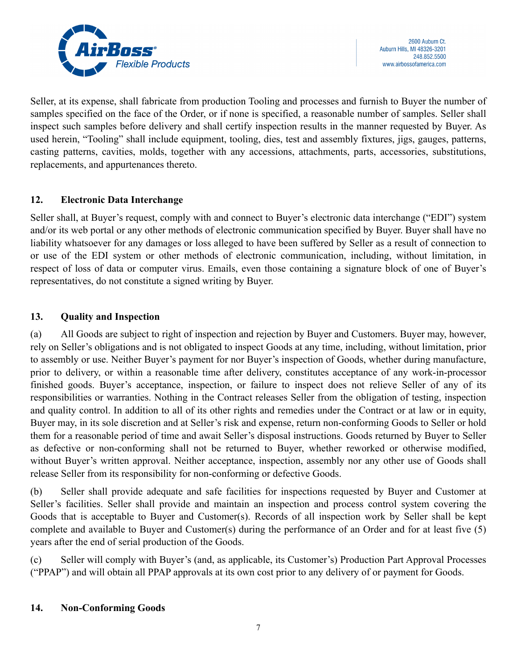

Seller, at its expense, shall fabricate from production Tooling and processes and furnish to Buyer the number of samples specified on the face of the Order, or if none is specified, a reasonable number of samples. Seller shall inspect such samples before delivery and shall certify inspection results in the manner requested by Buyer. As used herein, "Tooling" shall include equipment, tooling, dies, test and assembly fixtures, jigs, gauges, patterns, casting patterns, cavities, molds, together with any accessions, attachments, parts, accessories, substitutions, replacements, and appurtenances thereto.

# **12. Electronic Data Interchange**

Seller shall, at Buyer's request, comply with and connect to Buyer's electronic data interchange ("EDI") system and/or its web portal or any other methods of electronic communication specified by Buyer. Buyer shall have no liability whatsoever for any damages or loss alleged to have been suffered by Seller as a result of connection to or use of the EDI system or other methods of electronic communication, including, without limitation, in respect of loss of data or computer virus. Emails, even those containing a signature block of one of Buyer's representatives, do not constitute a signed writing by Buyer.

# **13. Quality and Inspection**

(a) All Goods are subject to right of inspection and rejection by Buyer and Customers. Buyer may, however, rely on Seller's obligations and is not obligated to inspect Goods at any time, including, without limitation, prior to assembly or use. Neither Buyer's payment for nor Buyer's inspection of Goods, whether during manufacture, prior to delivery, or within a reasonable time after delivery, constitutes acceptance of any work-in-processor finished goods. Buyer's acceptance, inspection, or failure to inspect does not relieve Seller of any of its responsibilities or warranties. Nothing in the Contract releases Seller from the obligation of testing, inspection and quality control. In addition to all of its other rights and remedies under the Contract or at law or in equity, Buyer may, in its sole discretion and at Seller's risk and expense, return non-conforming Goods to Seller or hold them for a reasonable period of time and await Seller's disposal instructions. Goods returned by Buyer to Seller as defective or non-conforming shall not be returned to Buyer, whether reworked or otherwise modified, without Buyer's written approval. Neither acceptance, inspection, assembly nor any other use of Goods shall release Seller from its responsibility for non-conforming or defective Goods.

(b) Seller shall provide adequate and safe facilities for inspections requested by Buyer and Customer at Seller's facilities. Seller shall provide and maintain an inspection and process control system covering the Goods that is acceptable to Buyer and Customer(s). Records of all inspection work by Seller shall be kept complete and available to Buyer and Customer(s) during the performance of an Order and for at least five (5) years after the end of serial production of the Goods.

(c) Seller will comply with Buyer's (and, as applicable, its Customer's) Production Part Approval Processes ("PPAP") and will obtain all PPAP approvals at its own cost prior to any delivery of or payment for Goods.

### **14. Non-Conforming Goods**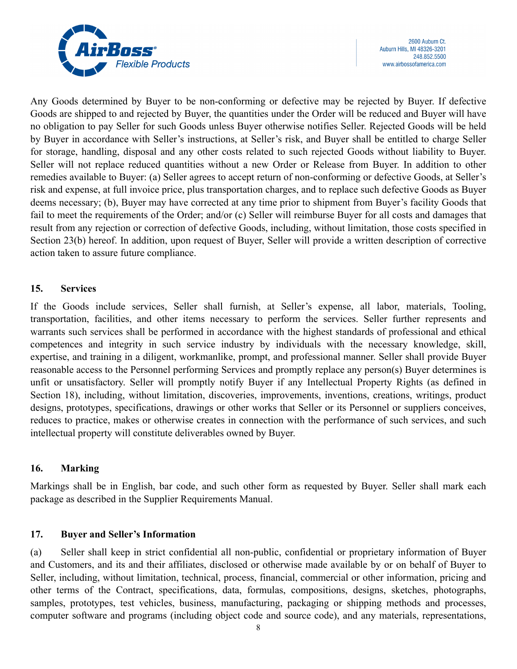

Any Goods determined by Buyer to be non-conforming or defective may be rejected by Buyer. If defective Goods are shipped to and rejected by Buyer, the quantities under the Order will be reduced and Buyer will have no obligation to pay Seller for such Goods unless Buyer otherwise notifies Seller. Rejected Goods will be held by Buyer in accordance with Seller's instructions, at Seller's risk, and Buyer shall be entitled to charge Seller for storage, handling, disposal and any other costs related to such rejected Goods without liability to Buyer. Seller will not replace reduced quantities without a new Order or Release from Buyer. In addition to other remedies available to Buyer: (a) Seller agrees to accept return of non-conforming or defective Goods, at Seller's risk and expense, at full invoice price, plus transportation charges, and to replace such defective Goods as Buyer deems necessary; (b), Buyer may have corrected at any time prior to shipment from Buyer's facility Goods that fail to meet the requirements of the Order; and/or (c) Seller will reimburse Buyer for all costs and damages that result from any rejection or correction of defective Goods, including, without limitation, those costs specified in Section 23(b) hereof. In addition, upon request of Buyer, Seller will provide a written description of corrective action taken to assure future compliance.

### **15. Services**

If the Goods include services, Seller shall furnish, at Seller's expense, all labor, materials, Tooling, transportation, facilities, and other items necessary to perform the services. Seller further represents and warrants such services shall be performed in accordance with the highest standards of professional and ethical competences and integrity in such service industry by individuals with the necessary knowledge, skill, expertise, and training in a diligent, workmanlike, prompt, and professional manner. Seller shall provide Buyer reasonable access to the Personnel performing Services and promptly replace any person(s) Buyer determines is unfit or unsatisfactory. Seller will promptly notify Buyer if any Intellectual Property Rights (as defined in Section 18), including, without limitation, discoveries, improvements, inventions, creations, writings, product designs, prototypes, specifications, drawings or other works that Seller or its Personnel or suppliers conceives, reduces to practice, makes or otherwise creates in connection with the performance of such services, and such intellectual property will constitute deliverables owned by Buyer.

### **16. Marking**

Markings shall be in English, bar code, and such other form as requested by Buyer. Seller shall mark each package as described in the Supplier Requirements Manual.

### **17. Buyer and Seller's Information**

(a) Seller shall keep in strict confidential all non-public, confidential or proprietary information of Buyer and Customers, and its and their affiliates, disclosed or otherwise made available by or on behalf of Buyer to Seller, including, without limitation, technical, process, financial, commercial or other information, pricing and other terms of the Contract, specifications, data, formulas, compositions, designs, sketches, photographs, samples, prototypes, test vehicles, business, manufacturing, packaging or shipping methods and processes, computer software and programs (including object code and source code), and any materials, representations,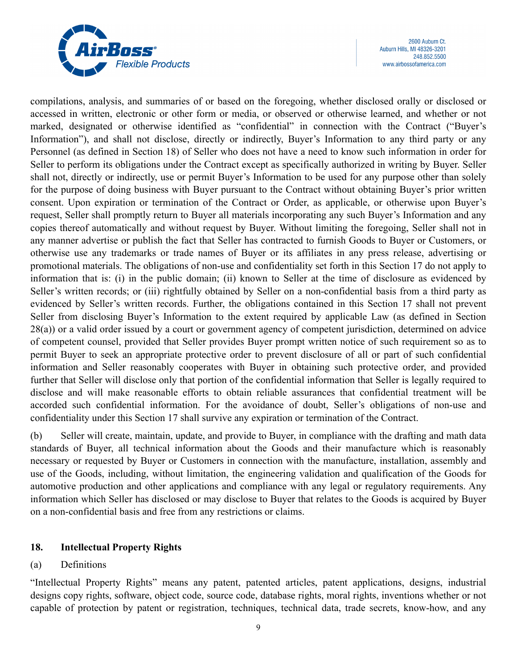

2600 Auburn Ct. Auburn Hills, MI 48326-3201 248.852.5500 www.airbossofamerica.com

compilations, analysis, and summaries of or based on the foregoing, whether disclosed orally or disclosed or accessed in written, electronic or other form or media, or observed or otherwise learned, and whether or not marked, designated or otherwise identified as "confidential" in connection with the Contract ("Buyer's Information"), and shall not disclose, directly or indirectly, Buyer's Information to any third party or any Personnel (as defined in Section 18) of Seller who does not have a need to know such information in order for Seller to perform its obligations under the Contract except as specifically authorized in writing by Buyer. Seller shall not, directly or indirectly, use or permit Buyer's Information to be used for any purpose other than solely for the purpose of doing business with Buyer pursuant to the Contract without obtaining Buyer's prior written consent. Upon expiration or termination of the Contract or Order, as applicable, or otherwise upon Buyer's request, Seller shall promptly return to Buyer all materials incorporating any such Buyer's Information and any copies thereof automatically and without request by Buyer. Without limiting the foregoing, Seller shall not in any manner advertise or publish the fact that Seller has contracted to furnish Goods to Buyer or Customers, or otherwise use any trademarks or trade names of Buyer or its affiliates in any press release, advertising or promotional materials. The obligations of non-use and confidentiality set forth in this Section 17 do not apply to information that is: (i) in the public domain; (ii) known to Seller at the time of disclosure as evidenced by Seller's written records; or (iii) rightfully obtained by Seller on a non-confidential basis from a third party as evidenced by Seller's written records. Further, the obligations contained in this Section 17 shall not prevent Seller from disclosing Buyer's Information to the extent required by applicable Law (as defined in Section 28(a)) or a valid order issued by a court or government agency of competent jurisdiction, determined on advice of competent counsel, provided that Seller provides Buyer prompt written notice of such requirement so as to permit Buyer to seek an appropriate protective order to prevent disclosure of all or part of such confidential information and Seller reasonably cooperates with Buyer in obtaining such protective order, and provided further that Seller will disclose only that portion of the confidential information that Seller is legally required to disclose and will make reasonable efforts to obtain reliable assurances that confidential treatment will be accorded such confidential information. For the avoidance of doubt, Seller's obligations of non-use and confidentiality under this Section 17 shall survive any expiration or termination of the Contract.

(b) Seller will create, maintain, update, and provide to Buyer, in compliance with the drafting and math data standards of Buyer, all technical information about the Goods and their manufacture which is reasonably necessary or requested by Buyer or Customers in connection with the manufacture, installation, assembly and use of the Goods, including, without limitation, the engineering validation and qualification of the Goods for automotive production and other applications and compliance with any legal or regulatory requirements. Any information which Seller has disclosed or may disclose to Buyer that relates to the Goods is acquired by Buyer on a non-confidential basis and free from any restrictions or claims.

### **18. Intellectual Property Rights**

# (a) Definitions

"Intellectual Property Rights" means any patent, patented articles, patent applications, designs, industrial designs copy rights, software, object code, source code, database rights, moral rights, inventions whether or not capable of protection by patent or registration, techniques, technical data, trade secrets, know-how, and any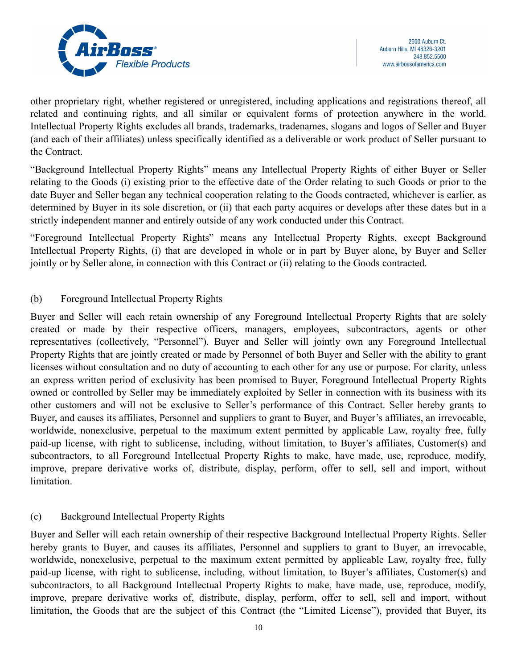

other proprietary right, whether registered or unregistered, including applications and registrations thereof, all related and continuing rights, and all similar or equivalent forms of protection anywhere in the world. Intellectual Property Rights excludes all brands, trademarks, tradenames, slogans and logos of Seller and Buyer (and each of their affiliates) unless specifically identified as a deliverable or work product of Seller pursuant to the Contract.

"Background Intellectual Property Rights" means any Intellectual Property Rights of either Buyer or Seller relating to the Goods (i) existing prior to the effective date of the Order relating to such Goods or prior to the date Buyer and Seller began any technical cooperation relating to the Goods contracted, whichever is earlier, as determined by Buyer in its sole discretion, or (ii) that each party acquires or develops after these dates but in a strictly independent manner and entirely outside of any work conducted under this Contract.

"Foreground Intellectual Property Rights" means any Intellectual Property Rights, except Background Intellectual Property Rights, (i) that are developed in whole or in part by Buyer alone, by Buyer and Seller jointly or by Seller alone, in connection with this Contract or (ii) relating to the Goods contracted.

# (b) Foreground Intellectual Property Rights

Buyer and Seller will each retain ownership of any Foreground Intellectual Property Rights that are solely created or made by their respective officers, managers, employees, subcontractors, agents or other representatives (collectively, "Personnel"). Buyer and Seller will jointly own any Foreground Intellectual Property Rights that are jointly created or made by Personnel of both Buyer and Seller with the ability to grant licenses without consultation and no duty of accounting to each other for any use or purpose. For clarity, unless an express written period of exclusivity has been promised to Buyer, Foreground Intellectual Property Rights owned or controlled by Seller may be immediately exploited by Seller in connection with its business with its other customers and will not be exclusive to Seller's performance of this Contract. Seller hereby grants to Buyer, and causes its affiliates, Personnel and suppliers to grant to Buyer, and Buyer's affiliates, an irrevocable, worldwide, nonexclusive, perpetual to the maximum extent permitted by applicable Law, royalty free, fully paid-up license, with right to sublicense, including, without limitation, to Buyer's affiliates, Customer(s) and subcontractors, to all Foreground Intellectual Property Rights to make, have made, use, reproduce, modify, improve, prepare derivative works of, distribute, display, perform, offer to sell, sell and import, without limitation.

# (c) Background Intellectual Property Rights

Buyer and Seller will each retain ownership of their respective Background Intellectual Property Rights. Seller hereby grants to Buyer, and causes its affiliates, Personnel and suppliers to grant to Buyer, an irrevocable, worldwide, nonexclusive, perpetual to the maximum extent permitted by applicable Law, royalty free, fully paid-up license, with right to sublicense, including, without limitation, to Buyer's affiliates, Customer(s) and subcontractors, to all Background Intellectual Property Rights to make, have made, use, reproduce, modify, improve, prepare derivative works of, distribute, display, perform, offer to sell, sell and import, without limitation, the Goods that are the subject of this Contract (the "Limited License"), provided that Buyer, its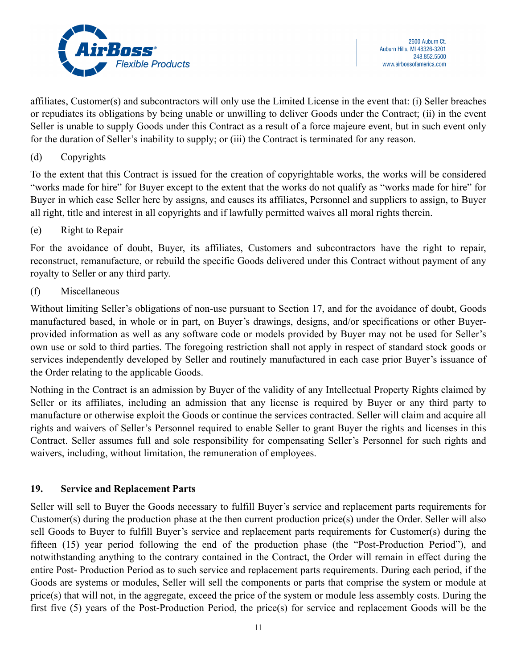

affiliates, Customer(s) and subcontractors will only use the Limited License in the event that: (i) Seller breaches or repudiates its obligations by being unable or unwilling to deliver Goods under the Contract; (ii) in the event Seller is unable to supply Goods under this Contract as a result of a force majeure event, but in such event only for the duration of Seller's inability to supply; or (iii) the Contract is terminated for any reason.

### (d) Copyrights

To the extent that this Contract is issued for the creation of copyrightable works, the works will be considered "works made for hire" for Buyer except to the extent that the works do not qualify as "works made for hire" for Buyer in which case Seller here by assigns, and causes its affiliates, Personnel and suppliers to assign, to Buyer all right, title and interest in all copyrights and if lawfully permitted waives all moral rights therein.

# (e) Right to Repair

For the avoidance of doubt, Buyer, its affiliates, Customers and subcontractors have the right to repair, reconstruct, remanufacture, or rebuild the specific Goods delivered under this Contract without payment of any royalty to Seller or any third party.

### (f) Miscellaneous

Without limiting Seller's obligations of non-use pursuant to Section 17, and for the avoidance of doubt, Goods manufactured based, in whole or in part, on Buyer's drawings, designs, and/or specifications or other Buyerprovided information as well as any software code or models provided by Buyer may not be used for Seller's own use or sold to third parties. The foregoing restriction shall not apply in respect of standard stock goods or services independently developed by Seller and routinely manufactured in each case prior Buyer's issuance of the Order relating to the applicable Goods.

Nothing in the Contract is an admission by Buyer of the validity of any Intellectual Property Rights claimed by Seller or its affiliates, including an admission that any license is required by Buyer or any third party to manufacture or otherwise exploit the Goods or continue the services contracted. Seller will claim and acquire all rights and waivers of Seller's Personnel required to enable Seller to grant Buyer the rights and licenses in this Contract. Seller assumes full and sole responsibility for compensating Seller's Personnel for such rights and waivers, including, without limitation, the remuneration of employees.

# **19. Service and Replacement Parts**

Seller will sell to Buyer the Goods necessary to fulfill Buyer's service and replacement parts requirements for Customer(s) during the production phase at the then current production price(s) under the Order. Seller will also sell Goods to Buyer to fulfill Buyer's service and replacement parts requirements for Customer(s) during the fifteen (15) year period following the end of the production phase (the "Post-Production Period"), and notwithstanding anything to the contrary contained in the Contract, the Order will remain in effect during the entire Post- Production Period as to such service and replacement parts requirements. During each period, if the Goods are systems or modules, Seller will sell the components or parts that comprise the system or module at price(s) that will not, in the aggregate, exceed the price of the system or module less assembly costs. During the first five (5) years of the Post-Production Period, the price(s) for service and replacement Goods will be the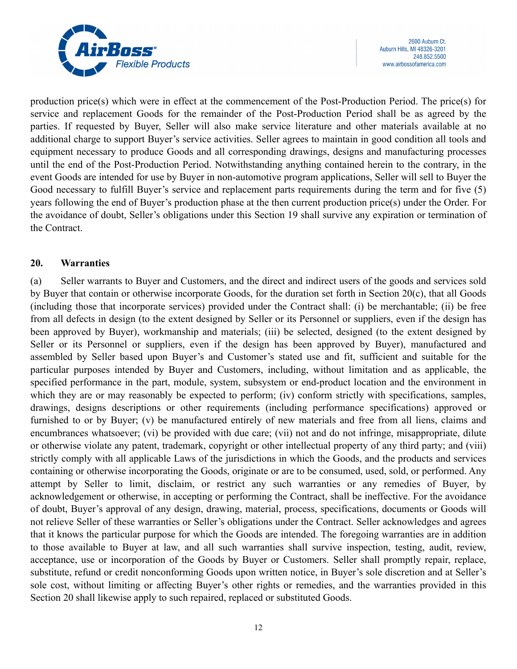

production price(s) which were in effect at the commencement of the Post-Production Period. The price(s) for service and replacement Goods for the remainder of the Post-Production Period shall be as agreed by the parties. If requested by Buyer, Seller will also make service literature and other materials available at no additional charge to support Buyer's service activities. Seller agrees to maintain in good condition all tools and equipment necessary to produce Goods and all corresponding drawings, designs and manufacturing processes until the end of the Post-Production Period. Notwithstanding anything contained herein to the contrary, in the event Goods are intended for use by Buyer in non-automotive program applications, Seller will sell to Buyer the Good necessary to fulfill Buyer's service and replacement parts requirements during the term and for five (5) years following the end of Buyer's production phase at the then current production price(s) under the Order. For the avoidance of doubt, Seller's obligations under this Section 19 shall survive any expiration or termination of the Contract.

### **20. Warranties**

(a) Seller warrants to Buyer and Customers, and the direct and indirect users of the goods and services sold by Buyer that contain or otherwise incorporate Goods, for the duration set forth in Section 20(c), that all Goods (including those that incorporate services) provided under the Contract shall: (i) be merchantable; (ii) be free from all defects in design (to the extent designed by Seller or its Personnel or suppliers, even if the design has been approved by Buyer), workmanship and materials; (iii) be selected, designed (to the extent designed by Seller or its Personnel or suppliers, even if the design has been approved by Buyer), manufactured and assembled by Seller based upon Buyer's and Customer's stated use and fit, sufficient and suitable for the particular purposes intended by Buyer and Customers, including, without limitation and as applicable, the specified performance in the part, module, system, subsystem or end-product location and the environment in which they are or may reasonably be expected to perform; (iv) conform strictly with specifications, samples, drawings, designs descriptions or other requirements (including performance specifications) approved or furnished to or by Buyer; (v) be manufactured entirely of new materials and free from all liens, claims and encumbrances whatsoever; (vi) be provided with due care; (vii) not and do not infringe, misappropriate, dilute or otherwise violate any patent, trademark, copyright or other intellectual property of any third party; and (viii) strictly comply with all applicable Laws of the jurisdictions in which the Goods, and the products and services containing or otherwise incorporating the Goods, originate or are to be consumed, used, sold, or performed. Any attempt by Seller to limit, disclaim, or restrict any such warranties or any remedies of Buyer, by acknowledgement or otherwise, in accepting or performing the Contract, shall be ineffective. For the avoidance of doubt, Buyer's approval of any design, drawing, material, process, specifications, documents or Goods will not relieve Seller of these warranties or Seller's obligations under the Contract. Seller acknowledges and agrees that it knows the particular purpose for which the Goods are intended. The foregoing warranties are in addition to those available to Buyer at law, and all such warranties shall survive inspection, testing, audit, review, acceptance, use or incorporation of the Goods by Buyer or Customers. Seller shall promptly repair, replace, substitute, refund or credit nonconforming Goods upon written notice, in Buyer's sole discretion and at Seller's sole cost, without limiting or affecting Buyer's other rights or remedies, and the warranties provided in this Section 20 shall likewise apply to such repaired, replaced or substituted Goods.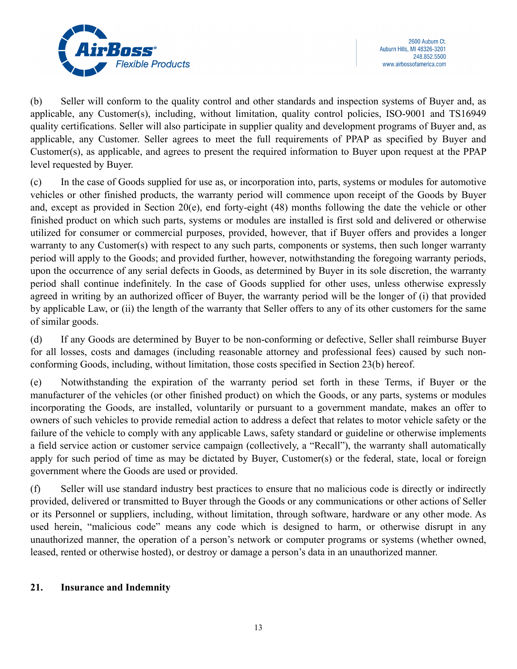

(b) Seller will conform to the quality control and other standards and inspection systems of Buyer and, as applicable, any Customer(s), including, without limitation, quality control policies, ISO-9001 and TS16949 quality certifications. Seller will also participate in supplier quality and development programs of Buyer and, as applicable, any Customer. Seller agrees to meet the full requirements of PPAP as specified by Buyer and Customer(s), as applicable, and agrees to present the required information to Buyer upon request at the PPAP level requested by Buyer.

(c) In the case of Goods supplied for use as, or incorporation into, parts, systems or modules for automotive vehicles or other finished products, the warranty period will commence upon receipt of the Goods by Buyer and, except as provided in Section 20(e), end forty-eight (48) months following the date the vehicle or other finished product on which such parts, systems or modules are installed is first sold and delivered or otherwise utilized for consumer or commercial purposes, provided, however, that if Buyer offers and provides a longer warranty to any Customer(s) with respect to any such parts, components or systems, then such longer warranty period will apply to the Goods; and provided further, however, notwithstanding the foregoing warranty periods, upon the occurrence of any serial defects in Goods, as determined by Buyer in its sole discretion, the warranty period shall continue indefinitely. In the case of Goods supplied for other uses, unless otherwise expressly agreed in writing by an authorized officer of Buyer, the warranty period will be the longer of (i) that provided by applicable Law, or (ii) the length of the warranty that Seller offers to any of its other customers for the same of similar goods.

(d) If any Goods are determined by Buyer to be non-conforming or defective, Seller shall reimburse Buyer for all losses, costs and damages (including reasonable attorney and professional fees) caused by such nonconforming Goods, including, without limitation, those costs specified in Section 23(b) hereof.

(e) Notwithstanding the expiration of the warranty period set forth in these Terms, if Buyer or the manufacturer of the vehicles (or other finished product) on which the Goods, or any parts, systems or modules incorporating the Goods, are installed, voluntarily or pursuant to a government mandate, makes an offer to owners of such vehicles to provide remedial action to address a defect that relates to motor vehicle safety or the failure of the vehicle to comply with any applicable Laws, safety standard or guideline or otherwise implements a field service action or customer service campaign (collectively, a "Recall"), the warranty shall automatically apply for such period of time as may be dictated by Buyer, Customer(s) or the federal, state, local or foreign government where the Goods are used or provided.

(f) Seller will use standard industry best practices to ensure that no malicious code is directly or indirectly provided, delivered or transmitted to Buyer through the Goods or any communications or other actions of Seller or its Personnel or suppliers, including, without limitation, through software, hardware or any other mode. As used herein, "malicious code" means any code which is designed to harm, or otherwise disrupt in any unauthorized manner, the operation of a person's network or computer programs or systems (whether owned, leased, rented or otherwise hosted), or destroy or damage a person's data in an unauthorized manner.

# **21. Insurance and Indemnity**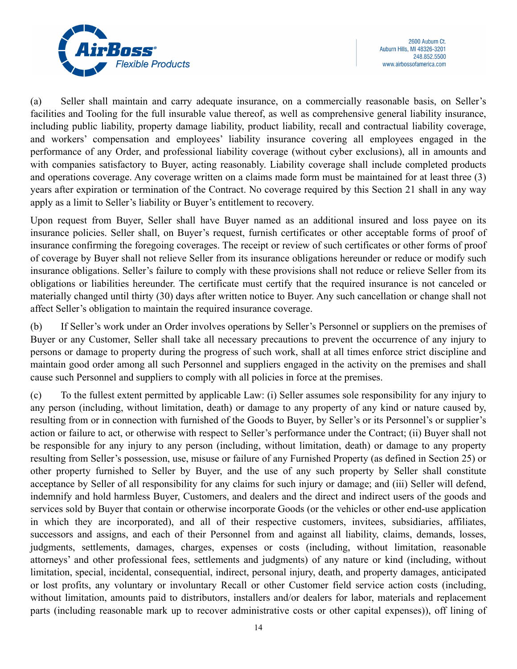

(a) Seller shall maintain and carry adequate insurance, on a commercially reasonable basis, on Seller's facilities and Tooling for the full insurable value thereof, as well as comprehensive general liability insurance, including public liability, property damage liability, product liability, recall and contractual liability coverage, and workers' compensation and employees' liability insurance covering all employees engaged in the performance of any Order, and professional liability coverage (without cyber exclusions), all in amounts and with companies satisfactory to Buyer, acting reasonably. Liability coverage shall include completed products and operations coverage. Any coverage written on a claims made form must be maintained for at least three (3) years after expiration or termination of the Contract. No coverage required by this Section 21 shall in any way apply as a limit to Seller's liability or Buyer's entitlement to recovery.

Upon request from Buyer, Seller shall have Buyer named as an additional insured and loss payee on its insurance policies. Seller shall, on Buyer's request, furnish certificates or other acceptable forms of proof of insurance confirming the foregoing coverages. The receipt or review of such certificates or other forms of proof of coverage by Buyer shall not relieve Seller from its insurance obligations hereunder or reduce or modify such insurance obligations. Seller's failure to comply with these provisions shall not reduce or relieve Seller from its obligations or liabilities hereunder. The certificate must certify that the required insurance is not canceled or materially changed until thirty (30) days after written notice to Buyer. Any such cancellation or change shall not affect Seller's obligation to maintain the required insurance coverage.

(b) If Seller's work under an Order involves operations by Seller's Personnel or suppliers on the premises of Buyer or any Customer, Seller shall take all necessary precautions to prevent the occurrence of any injury to persons or damage to property during the progress of such work, shall at all times enforce strict discipline and maintain good order among all such Personnel and suppliers engaged in the activity on the premises and shall cause such Personnel and suppliers to comply with all policies in force at the premises.

(c) To the fullest extent permitted by applicable Law: (i) Seller assumes sole responsibility for any injury to any person (including, without limitation, death) or damage to any property of any kind or nature caused by, resulting from or in connection with furnished of the Goods to Buyer, by Seller's or its Personnel's or supplier's action or failure to act, or otherwise with respect to Seller's performance under the Contract; (ii) Buyer shall not be responsible for any injury to any person (including, without limitation, death) or damage to any property resulting from Seller's possession, use, misuse or failure of any Furnished Property (as defined in Section 25) or other property furnished to Seller by Buyer, and the use of any such property by Seller shall constitute acceptance by Seller of all responsibility for any claims for such injury or damage; and (iii) Seller will defend, indemnify and hold harmless Buyer, Customers, and dealers and the direct and indirect users of the goods and services sold by Buyer that contain or otherwise incorporate Goods (or the vehicles or other end-use application in which they are incorporated), and all of their respective customers, invitees, subsidiaries, affiliates, successors and assigns, and each of their Personnel from and against all liability, claims, demands, losses, judgments, settlements, damages, charges, expenses or costs (including, without limitation, reasonable attorneys' and other professional fees, settlements and judgments) of any nature or kind (including, without limitation, special, incidental, consequential, indirect, personal injury, death, and property damages, anticipated or lost profits, any voluntary or involuntary Recall or other Customer field service action costs (including, without limitation, amounts paid to distributors, installers and/or dealers for labor, materials and replacement parts (including reasonable mark up to recover administrative costs or other capital expenses)), off lining of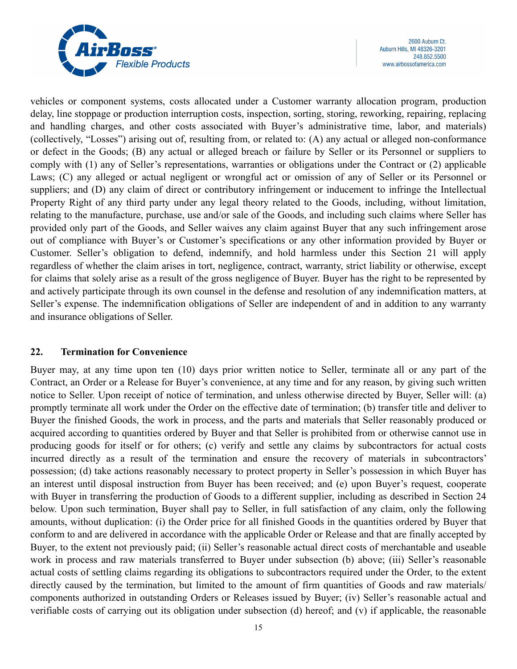

vehicles or component systems, costs allocated under a Customer warranty allocation program, production delay, line stoppage or production interruption costs, inspection, sorting, storing, reworking, repairing, replacing and handling charges, and other costs associated with Buyer's administrative time, labor, and materials) (collectively, "Losses") arising out of, resulting from, or related to: (A) any actual or alleged non-conformance or defect in the Goods; (B) any actual or alleged breach or failure by Seller or its Personnel or suppliers to comply with (1) any of Seller's representations, warranties or obligations under the Contract or (2) applicable Laws; (C) any alleged or actual negligent or wrongful act or omission of any of Seller or its Personnel or suppliers; and (D) any claim of direct or contributory infringement or inducement to infringe the Intellectual Property Right of any third party under any legal theory related to the Goods, including, without limitation, relating to the manufacture, purchase, use and/or sale of the Goods, and including such claims where Seller has provided only part of the Goods, and Seller waives any claim against Buyer that any such infringement arose out of compliance with Buyer's or Customer's specifications or any other information provided by Buyer or Customer. Seller's obligation to defend, indemnify, and hold harmless under this Section 21 will apply regardless of whether the claim arises in tort, negligence, contract, warranty, strict liability or otherwise, except for claims that solely arise as a result of the gross negligence of Buyer. Buyer has the right to be represented by and actively participate through its own counsel in the defense and resolution of any indemnification matters, at Seller's expense. The indemnification obligations of Seller are independent of and in addition to any warranty and insurance obligations of Seller.

### **22. Termination for Convenience**

Buyer may, at any time upon ten (10) days prior written notice to Seller, terminate all or any part of the Contract, an Order or a Release for Buyer's convenience, at any time and for any reason, by giving such written notice to Seller. Upon receipt of notice of termination, and unless otherwise directed by Buyer, Seller will: (a) promptly terminate all work under the Order on the effective date of termination; (b) transfer title and deliver to Buyer the finished Goods, the work in process, and the parts and materials that Seller reasonably produced or acquired according to quantities ordered by Buyer and that Seller is prohibited from or otherwise cannot use in producing goods for itself or for others; (c) verify and settle any claims by subcontractors for actual costs incurred directly as a result of the termination and ensure the recovery of materials in subcontractors' possession; (d) take actions reasonably necessary to protect property in Seller's possession in which Buyer has an interest until disposal instruction from Buyer has been received; and (e) upon Buyer's request, cooperate with Buyer in transferring the production of Goods to a different supplier, including as described in Section 24 below. Upon such termination, Buyer shall pay to Seller, in full satisfaction of any claim, only the following amounts, without duplication: (i) the Order price for all finished Goods in the quantities ordered by Buyer that conform to and are delivered in accordance with the applicable Order or Release and that are finally accepted by Buyer, to the extent not previously paid; (ii) Seller's reasonable actual direct costs of merchantable and useable work in process and raw materials transferred to Buyer under subsection (b) above; (iii) Seller's reasonable actual costs of settling claims regarding its obligations to subcontractors required under the Order, to the extent directly caused by the termination, but limited to the amount of firm quantities of Goods and raw materials/ components authorized in outstanding Orders or Releases issued by Buyer; (iv) Seller's reasonable actual and verifiable costs of carrying out its obligation under subsection (d) hereof; and (v) if applicable, the reasonable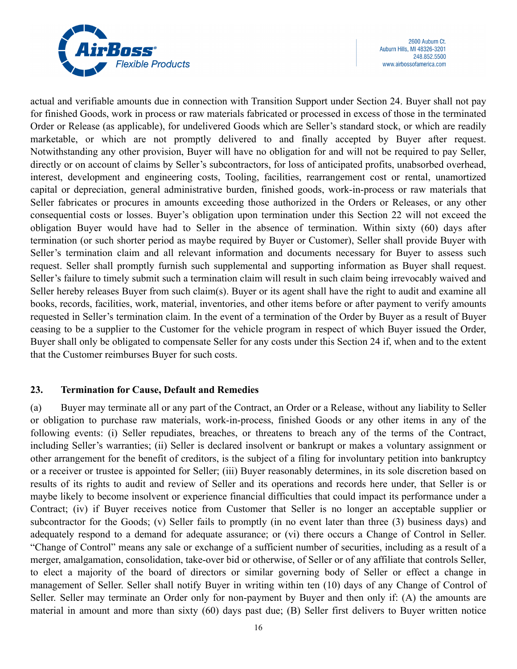

actual and verifiable amounts due in connection with Transition Support under Section 24. Buyer shall not pay for finished Goods, work in process or raw materials fabricated or processed in excess of those in the terminated Order or Release (as applicable), for undelivered Goods which are Seller's standard stock, or which are readily marketable, or which are not promptly delivered to and finally accepted by Buyer after request. Notwithstanding any other provision, Buyer will have no obligation for and will not be required to pay Seller, directly or on account of claims by Seller's subcontractors, for loss of anticipated profits, unabsorbed overhead, interest, development and engineering costs, Tooling, facilities, rearrangement cost or rental, unamortized capital or depreciation, general administrative burden, finished goods, work-in-process or raw materials that Seller fabricates or procures in amounts exceeding those authorized in the Orders or Releases, or any other consequential costs or losses. Buyer's obligation upon termination under this Section 22 will not exceed the obligation Buyer would have had to Seller in the absence of termination. Within sixty (60) days after termination (or such shorter period as maybe required by Buyer or Customer), Seller shall provide Buyer with Seller's termination claim and all relevant information and documents necessary for Buyer to assess such request. Seller shall promptly furnish such supplemental and supporting information as Buyer shall request. Seller's failure to timely submit such a termination claim will result in such claim being irrevocably waived and Seller hereby releases Buyer from such claim(s). Buyer or its agent shall have the right to audit and examine all books, records, facilities, work, material, inventories, and other items before or after payment to verify amounts requested in Seller's termination claim. In the event of a termination of the Order by Buyer as a result of Buyer ceasing to be a supplier to the Customer for the vehicle program in respect of which Buyer issued the Order, Buyer shall only be obligated to compensate Seller for any costs under this Section 24 if, when and to the extent that the Customer reimburses Buyer for such costs.

### **23. Termination for Cause, Default and Remedies**

(a) Buyer may terminate all or any part of the Contract, an Order or a Release, without any liability to Seller or obligation to purchase raw materials, work-in-process, finished Goods or any other items in any of the following events: (i) Seller repudiates, breaches, or threatens to breach any of the terms of the Contract, including Seller's warranties; (ii) Seller is declared insolvent or bankrupt or makes a voluntary assignment or other arrangement for the benefit of creditors, is the subject of a filing for involuntary petition into bankruptcy or a receiver or trustee is appointed for Seller; (iii) Buyer reasonably determines, in its sole discretion based on results of its rights to audit and review of Seller and its operations and records here under, that Seller is or maybe likely to become insolvent or experience financial difficulties that could impact its performance under a Contract; (iv) if Buyer receives notice from Customer that Seller is no longer an acceptable supplier or subcontractor for the Goods; (v) Seller fails to promptly (in no event later than three (3) business days) and adequately respond to a demand for adequate assurance; or (vi) there occurs a Change of Control in Seller. "Change of Control" means any sale or exchange of a sufficient number of securities, including as a result of a merger, amalgamation, consolidation, take-over bid or otherwise, of Seller or of any affiliate that controls Seller, to elect a majority of the board of directors or similar governing body of Seller or effect a change in management of Seller. Seller shall notify Buyer in writing within ten (10) days of any Change of Control of Seller. Seller may terminate an Order only for non-payment by Buyer and then only if: (A) the amounts are material in amount and more than sixty (60) days past due; (B) Seller first delivers to Buyer written notice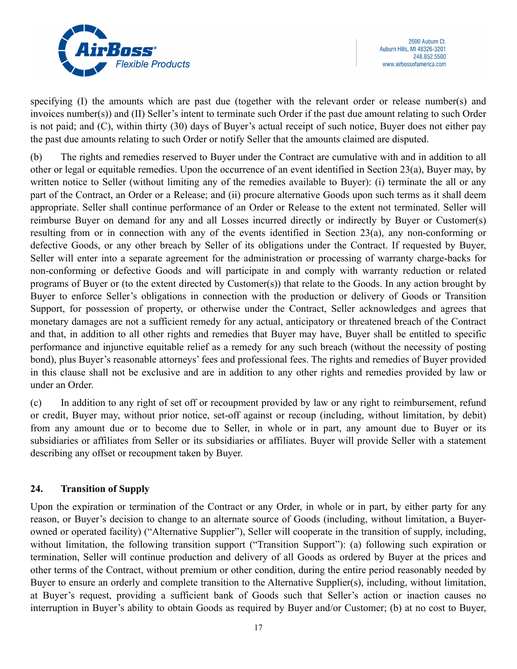

specifying (I) the amounts which are past due (together with the relevant order or release number(s) and invoices number(s)) and (II) Seller's intent to terminate such Order if the past due amount relating to such Order is not paid; and (C), within thirty (30) days of Buyer's actual receipt of such notice, Buyer does not either pay the past due amounts relating to such Order or notify Seller that the amounts claimed are disputed.

(b) The rights and remedies reserved to Buyer under the Contract are cumulative with and in addition to all other or legal or equitable remedies. Upon the occurrence of an event identified in Section 23(a), Buyer may, by written notice to Seller (without limiting any of the remedies available to Buyer): (i) terminate the all or any part of the Contract, an Order or a Release; and (ii) procure alternative Goods upon such terms as it shall deem appropriate. Seller shall continue performance of an Order or Release to the extent not terminated. Seller will reimburse Buyer on demand for any and all Losses incurred directly or indirectly by Buyer or Customer(s) resulting from or in connection with any of the events identified in Section 23(a), any non-conforming or defective Goods, or any other breach by Seller of its obligations under the Contract. If requested by Buyer, Seller will enter into a separate agreement for the administration or processing of warranty charge-backs for non-conforming or defective Goods and will participate in and comply with warranty reduction or related programs of Buyer or (to the extent directed by Customer(s)) that relate to the Goods. In any action brought by Buyer to enforce Seller's obligations in connection with the production or delivery of Goods or Transition Support, for possession of property, or otherwise under the Contract, Seller acknowledges and agrees that monetary damages are not a sufficient remedy for any actual, anticipatory or threatened breach of the Contract and that, in addition to all other rights and remedies that Buyer may have, Buyer shall be entitled to specific performance and injunctive equitable relief as a remedy for any such breach (without the necessity of posting bond), plus Buyer's reasonable attorneys' fees and professional fees. The rights and remedies of Buyer provided in this clause shall not be exclusive and are in addition to any other rights and remedies provided by law or under an Order.

(c) In addition to any right of set off or recoupment provided by law or any right to reimbursement, refund or credit, Buyer may, without prior notice, set-off against or recoup (including, without limitation, by debit) from any amount due or to become due to Seller, in whole or in part, any amount due to Buyer or its subsidiaries or affiliates from Seller or its subsidiaries or affiliates. Buyer will provide Seller with a statement describing any offset or recoupment taken by Buyer.

# **24. Transition of Supply**

Upon the expiration or termination of the Contract or any Order, in whole or in part, by either party for any reason, or Buyer's decision to change to an alternate source of Goods (including, without limitation, a Buyerowned or operated facility) ("Alternative Supplier"), Seller will cooperate in the transition of supply, including, without limitation, the following transition support ("Transition Support"): (a) following such expiration or termination, Seller will continue production and delivery of all Goods as ordered by Buyer at the prices and other terms of the Contract, without premium or other condition, during the entire period reasonably needed by Buyer to ensure an orderly and complete transition to the Alternative Supplier(s), including, without limitation, at Buyer's request, providing a sufficient bank of Goods such that Seller's action or inaction causes no interruption in Buyer's ability to obtain Goods as required by Buyer and/or Customer; (b) at no cost to Buyer,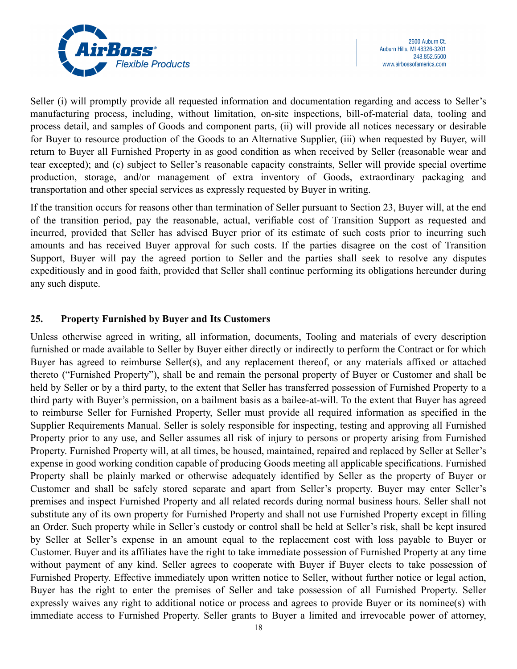

Seller (i) will promptly provide all requested information and documentation regarding and access to Seller's manufacturing process, including, without limitation, on-site inspections, bill-of-material data, tooling and process detail, and samples of Goods and component parts, (ii) will provide all notices necessary or desirable for Buyer to resource production of the Goods to an Alternative Supplier, (iii) when requested by Buyer, will return to Buyer all Furnished Property in as good condition as when received by Seller (reasonable wear and tear excepted); and (c) subject to Seller's reasonable capacity constraints, Seller will provide special overtime production, storage, and/or management of extra inventory of Goods, extraordinary packaging and transportation and other special services as expressly requested by Buyer in writing.

If the transition occurs for reasons other than termination of Seller pursuant to Section 23, Buyer will, at the end of the transition period, pay the reasonable, actual, verifiable cost of Transition Support as requested and incurred, provided that Seller has advised Buyer prior of its estimate of such costs prior to incurring such amounts and has received Buyer approval for such costs. If the parties disagree on the cost of Transition Support, Buyer will pay the agreed portion to Seller and the parties shall seek to resolve any disputes expeditiously and in good faith, provided that Seller shall continue performing its obligations hereunder during any such dispute.

### **25. Property Furnished by Buyer and Its Customers**

Unless otherwise agreed in writing, all information, documents, Tooling and materials of every description furnished or made available to Seller by Buyer either directly or indirectly to perform the Contract or for which Buyer has agreed to reimburse Seller(s), and any replacement thereof, or any materials affixed or attached thereto ("Furnished Property"), shall be and remain the personal property of Buyer or Customer and shall be held by Seller or by a third party, to the extent that Seller has transferred possession of Furnished Property to a third party with Buyer's permission, on a bailment basis as a bailee-at-will. To the extent that Buyer has agreed to reimburse Seller for Furnished Property, Seller must provide all required information as specified in the Supplier Requirements Manual. Seller is solely responsible for inspecting, testing and approving all Furnished Property prior to any use, and Seller assumes all risk of injury to persons or property arising from Furnished Property. Furnished Property will, at all times, be housed, maintained, repaired and replaced by Seller at Seller's expense in good working condition capable of producing Goods meeting all applicable specifications. Furnished Property shall be plainly marked or otherwise adequately identified by Seller as the property of Buyer or Customer and shall be safely stored separate and apart from Seller's property. Buyer may enter Seller's premises and inspect Furnished Property and all related records during normal business hours. Seller shall not substitute any of its own property for Furnished Property and shall not use Furnished Property except in filling an Order. Such property while in Seller's custody or control shall be held at Seller's risk, shall be kept insured by Seller at Seller's expense in an amount equal to the replacement cost with loss payable to Buyer or Customer. Buyer and its affiliates have the right to take immediate possession of Furnished Property at any time without payment of any kind. Seller agrees to cooperate with Buyer if Buyer elects to take possession of Furnished Property. Effective immediately upon written notice to Seller, without further notice or legal action, Buyer has the right to enter the premises of Seller and take possession of all Furnished Property. Seller expressly waives any right to additional notice or process and agrees to provide Buyer or its nominee(s) with immediate access to Furnished Property. Seller grants to Buyer a limited and irrevocable power of attorney,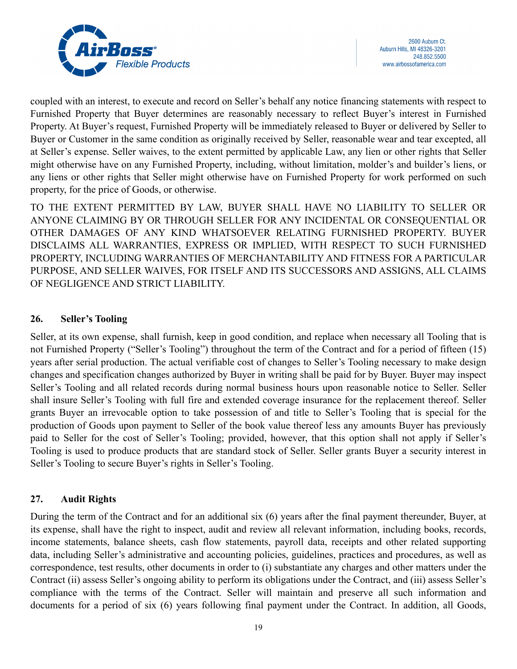

coupled with an interest, to execute and record on Seller's behalf any notice financing statements with respect to Furnished Property that Buyer determines are reasonably necessary to reflect Buyer's interest in Furnished Property. At Buyer's request, Furnished Property will be immediately released to Buyer or delivered by Seller to Buyer or Customer in the same condition as originally received by Seller, reasonable wear and tear excepted, all at Seller's expense. Seller waives, to the extent permitted by applicable Law, any lien or other rights that Seller might otherwise have on any Furnished Property, including, without limitation, molder's and builder's liens, or any liens or other rights that Seller might otherwise have on Furnished Property for work performed on such property, for the price of Goods, or otherwise.

TO THE EXTENT PERMITTED BY LAW, BUYER SHALL HAVE NO LIABILITY TO SELLER OR ANYONE CLAIMING BY OR THROUGH SELLER FOR ANY INCIDENTAL OR CONSEQUENTIAL OR OTHER DAMAGES OF ANY KIND WHATSOEVER RELATING FURNISHED PROPERTY. BUYER DISCLAIMS ALL WARRANTIES, EXPRESS OR IMPLIED, WITH RESPECT TO SUCH FURNISHED PROPERTY, INCLUDING WARRANTIES OF MERCHANTABILITY AND FITNESS FOR A PARTICULAR PURPOSE, AND SELLER WAIVES, FOR ITSELF AND ITS SUCCESSORS AND ASSIGNS, ALL CLAIMS OF NEGLIGENCE AND STRICT LIABILITY.

### **26. Seller's Tooling**

Seller, at its own expense, shall furnish, keep in good condition, and replace when necessary all Tooling that is not Furnished Property ("Seller's Tooling") throughout the term of the Contract and for a period of fifteen (15) years after serial production. The actual verifiable cost of changes to Seller's Tooling necessary to make design changes and specification changes authorized by Buyer in writing shall be paid for by Buyer. Buyer may inspect Seller's Tooling and all related records during normal business hours upon reasonable notice to Seller. Seller shall insure Seller's Tooling with full fire and extended coverage insurance for the replacement thereof. Seller grants Buyer an irrevocable option to take possession of and title to Seller's Tooling that is special for the production of Goods upon payment to Seller of the book value thereof less any amounts Buyer has previously paid to Seller for the cost of Seller's Tooling; provided, however, that this option shall not apply if Seller's Tooling is used to produce products that are standard stock of Seller. Seller grants Buyer a security interest in Seller's Tooling to secure Buyer's rights in Seller's Tooling.

### **27. Audit Rights**

During the term of the Contract and for an additional six (6) years after the final payment thereunder, Buyer, at its expense, shall have the right to inspect, audit and review all relevant information, including books, records, income statements, balance sheets, cash flow statements, payroll data, receipts and other related supporting data, including Seller's administrative and accounting policies, guidelines, practices and procedures, as well as correspondence, test results, other documents in order to (i) substantiate any charges and other matters under the Contract (ii) assess Seller's ongoing ability to perform its obligations under the Contract, and (iii) assess Seller's compliance with the terms of the Contract. Seller will maintain and preserve all such information and documents for a period of six (6) years following final payment under the Contract. In addition, all Goods,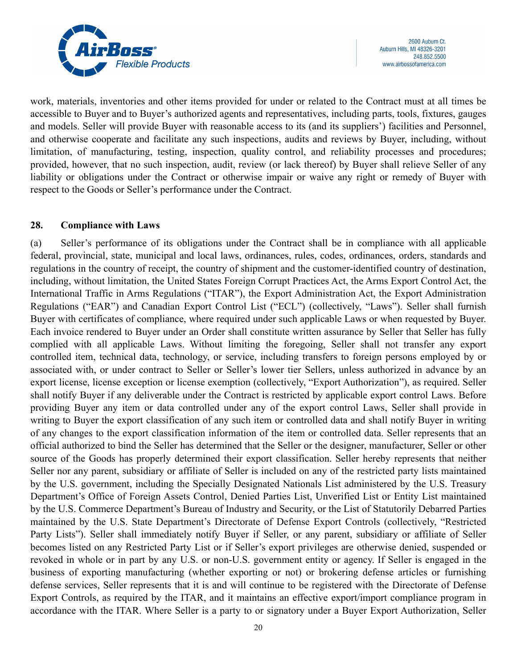

work, materials, inventories and other items provided for under or related to the Contract must at all times be accessible to Buyer and to Buyer's authorized agents and representatives, including parts, tools, fixtures, gauges and models. Seller will provide Buyer with reasonable access to its (and its suppliers') facilities and Personnel, and otherwise cooperate and facilitate any such inspections, audits and reviews by Buyer, including, without limitation, of manufacturing, testing, inspection, quality control, and reliability processes and procedures; provided, however, that no such inspection, audit, review (or lack thereof) by Buyer shall relieve Seller of any liability or obligations under the Contract or otherwise impair or waive any right or remedy of Buyer with respect to the Goods or Seller's performance under the Contract.

### **28. Compliance with Laws**

(a) Seller's performance of its obligations under the Contract shall be in compliance with all applicable federal, provincial, state, municipal and local laws, ordinances, rules, codes, ordinances, orders, standards and regulations in the country of receipt, the country of shipment and the customer-identified country of destination, including, without limitation, the United States Foreign Corrupt Practices Act, the Arms Export Control Act, the International Traffic in Arms Regulations ("ITAR"), the Export Administration Act, the Export Administration Regulations ("EAR") and Canadian Export Control List ("ECL") (collectively, "Laws"). Seller shall furnish Buyer with certificates of compliance, where required under such applicable Laws or when requested by Buyer. Each invoice rendered to Buyer under an Order shall constitute written assurance by Seller that Seller has fully complied with all applicable Laws. Without limiting the foregoing, Seller shall not transfer any export controlled item, technical data, technology, or service, including transfers to foreign persons employed by or associated with, or under contract to Seller or Seller's lower tier Sellers, unless authorized in advance by an export license, license exception or license exemption (collectively, "Export Authorization"), as required. Seller shall notify Buyer if any deliverable under the Contract is restricted by applicable export control Laws. Before providing Buyer any item or data controlled under any of the export control Laws, Seller shall provide in writing to Buyer the export classification of any such item or controlled data and shall notify Buyer in writing of any changes to the export classification information of the item or controlled data. Seller represents that an official authorized to bind the Seller has determined that the Seller or the designer, manufacturer, Seller or other source of the Goods has properly determined their export classification. Seller hereby represents that neither Seller nor any parent, subsidiary or affiliate of Seller is included on any of the restricted party lists maintained by the U.S. government, including the Specially Designated Nationals List administered by the U.S. Treasury Department's Office of Foreign Assets Control, Denied Parties List, Unverified List or Entity List maintained by the U.S. Commerce Department's Bureau of Industry and Security, or the List of Statutorily Debarred Parties maintained by the U.S. State Department's Directorate of Defense Export Controls (collectively, "Restricted Party Lists"). Seller shall immediately notify Buyer if Seller, or any parent, subsidiary or affiliate of Seller becomes listed on any Restricted Party List or if Seller's export privileges are otherwise denied, suspended or revoked in whole or in part by any U.S. or non-U.S. government entity or agency. If Seller is engaged in the business of exporting manufacturing (whether exporting or not) or brokering defense articles or furnishing defense services, Seller represents that it is and will continue to be registered with the Directorate of Defense Export Controls, as required by the ITAR, and it maintains an effective export/import compliance program in accordance with the ITAR. Where Seller is a party to or signatory under a Buyer Export Authorization, Seller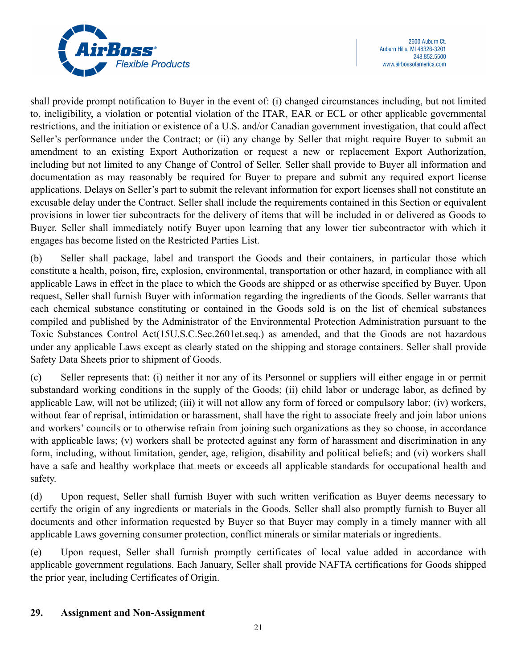

shall provide prompt notification to Buyer in the event of: (i) changed circumstances including, but not limited to, ineligibility, a violation or potential violation of the ITAR, EAR or ECL or other applicable governmental restrictions, and the initiation or existence of a U.S. and/or Canadian government investigation, that could affect Seller's performance under the Contract; or (ii) any change by Seller that might require Buyer to submit an amendment to an existing Export Authorization or request a new or replacement Export Authorization, including but not limited to any Change of Control of Seller. Seller shall provide to Buyer all information and documentation as may reasonably be required for Buyer to prepare and submit any required export license applications. Delays on Seller's part to submit the relevant information for export licenses shall not constitute an excusable delay under the Contract. Seller shall include the requirements contained in this Section or equivalent provisions in lower tier subcontracts for the delivery of items that will be included in or delivered as Goods to Buyer. Seller shall immediately notify Buyer upon learning that any lower tier subcontractor with which it engages has become listed on the Restricted Parties List.

(b) Seller shall package, label and transport the Goods and their containers, in particular those which constitute a health, poison, fire, explosion, environmental, transportation or other hazard, in compliance with all applicable Laws in effect in the place to which the Goods are shipped or as otherwise specified by Buyer. Upon request, Seller shall furnish Buyer with information regarding the ingredients of the Goods. Seller warrants that each chemical substance constituting or contained in the Goods sold is on the list of chemical substances compiled and published by the Administrator of the Environmental Protection Administration pursuant to the Toxic Substances Control Act(15U.S.C.Sec.2601et.seq.) as amended, and that the Goods are not hazardous under any applicable Laws except as clearly stated on the shipping and storage containers. Seller shall provide Safety Data Sheets prior to shipment of Goods.

(c) Seller represents that: (i) neither it nor any of its Personnel or suppliers will either engage in or permit substandard working conditions in the supply of the Goods; (ii) child labor or underage labor, as defined by applicable Law, will not be utilized; (iii) it will not allow any form of forced or compulsory labor; (iv) workers, without fear of reprisal, intimidation or harassment, shall have the right to associate freely and join labor unions and workers' councils or to otherwise refrain from joining such organizations as they so choose, in accordance with applicable laws; (v) workers shall be protected against any form of harassment and discrimination in any form, including, without limitation, gender, age, religion, disability and political beliefs; and (vi) workers shall have a safe and healthy workplace that meets or exceeds all applicable standards for occupational health and safety.

(d) Upon request, Seller shall furnish Buyer with such written verification as Buyer deems necessary to certify the origin of any ingredients or materials in the Goods. Seller shall also promptly furnish to Buyer all documents and other information requested by Buyer so that Buyer may comply in a timely manner with all applicable Laws governing consumer protection, conflict minerals or similar materials or ingredients.

(e) Upon request, Seller shall furnish promptly certificates of local value added in accordance with applicable government regulations. Each January, Seller shall provide NAFTA certifications for Goods shipped the prior year, including Certificates of Origin.

### **29. Assignment and Non-Assignment**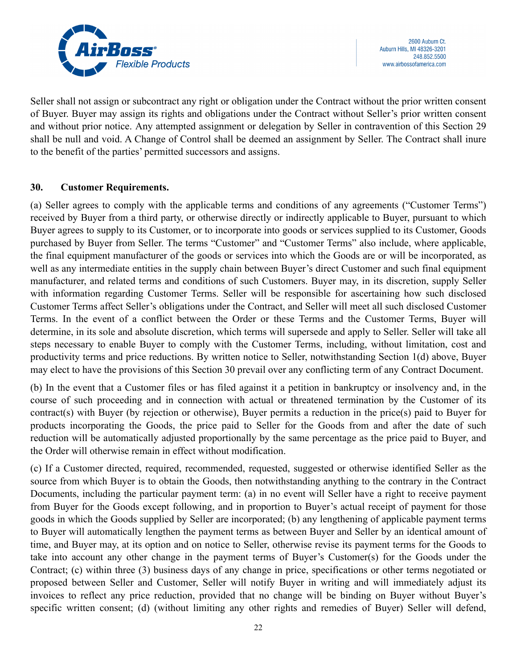

Seller shall not assign or subcontract any right or obligation under the Contract without the prior written consent of Buyer. Buyer may assign its rights and obligations under the Contract without Seller's prior written consent and without prior notice. Any attempted assignment or delegation by Seller in contravention of this Section 29 shall be null and void. A Change of Control shall be deemed an assignment by Seller. The Contract shall inure to the benefit of the parties' permitted successors and assigns.

### **30. Customer Requirements.**

(a) Seller agrees to comply with the applicable terms and conditions of any agreements ("Customer Terms") received by Buyer from a third party, or otherwise directly or indirectly applicable to Buyer, pursuant to which Buyer agrees to supply to its Customer, or to incorporate into goods or services supplied to its Customer, Goods purchased by Buyer from Seller. The terms "Customer" and "Customer Terms" also include, where applicable, the final equipment manufacturer of the goods or services into which the Goods are or will be incorporated, as well as any intermediate entities in the supply chain between Buyer's direct Customer and such final equipment manufacturer, and related terms and conditions of such Customers. Buyer may, in its discretion, supply Seller with information regarding Customer Terms. Seller will be responsible for ascertaining how such disclosed Customer Terms affect Seller's obligations under the Contract, and Seller will meet all such disclosed Customer Terms. In the event of a conflict between the Order or these Terms and the Customer Terms, Buyer will determine, in its sole and absolute discretion, which terms will supersede and apply to Seller. Seller will take all steps necessary to enable Buyer to comply with the Customer Terms, including, without limitation, cost and productivity terms and price reductions. By written notice to Seller, notwithstanding Section 1(d) above, Buyer may elect to have the provisions of this Section 30 prevail over any conflicting term of any Contract Document.

(b) In the event that a Customer files or has filed against it a petition in bankruptcy or insolvency and, in the course of such proceeding and in connection with actual or threatened termination by the Customer of its contract(s) with Buyer (by rejection or otherwise), Buyer permits a reduction in the price(s) paid to Buyer for products incorporating the Goods, the price paid to Seller for the Goods from and after the date of such reduction will be automatically adjusted proportionally by the same percentage as the price paid to Buyer, and the Order will otherwise remain in effect without modification.

(c) If a Customer directed, required, recommended, requested, suggested or otherwise identified Seller as the source from which Buyer is to obtain the Goods, then notwithstanding anything to the contrary in the Contract Documents, including the particular payment term: (a) in no event will Seller have a right to receive payment from Buyer for the Goods except following, and in proportion to Buyer's actual receipt of payment for those goods in which the Goods supplied by Seller are incorporated; (b) any lengthening of applicable payment terms to Buyer will automatically lengthen the payment terms as between Buyer and Seller by an identical amount of time, and Buyer may, at its option and on notice to Seller, otherwise revise its payment terms for the Goods to take into account any other change in the payment terms of Buyer's Customer(s) for the Goods under the Contract; (c) within three (3) business days of any change in price, specifications or other terms negotiated or proposed between Seller and Customer, Seller will notify Buyer in writing and will immediately adjust its invoices to reflect any price reduction, provided that no change will be binding on Buyer without Buyer's specific written consent; (d) (without limiting any other rights and remedies of Buyer) Seller will defend,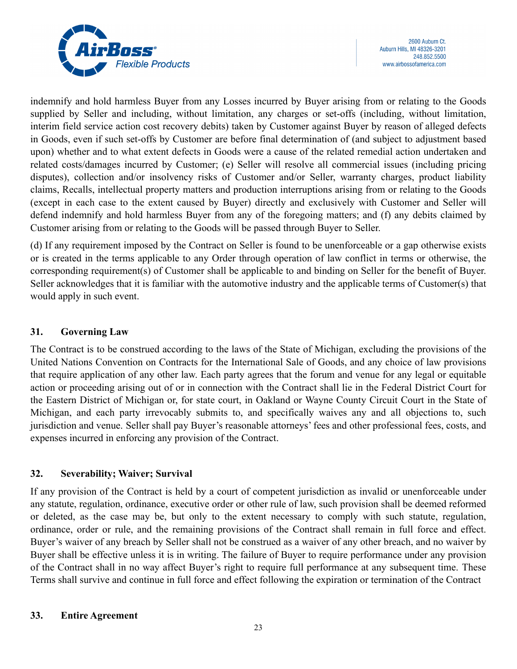

indemnify and hold harmless Buyer from any Losses incurred by Buyer arising from or relating to the Goods supplied by Seller and including, without limitation, any charges or set-offs (including, without limitation, interim field service action cost recovery debits) taken by Customer against Buyer by reason of alleged defects in Goods, even if such set-offs by Customer are before final determination of (and subject to adjustment based upon) whether and to what extent defects in Goods were a cause of the related remedial action undertaken and related costs/damages incurred by Customer; (e) Seller will resolve all commercial issues (including pricing disputes), collection and/or insolvency risks of Customer and/or Seller, warranty charges, product liability claims, Recalls, intellectual property matters and production interruptions arising from or relating to the Goods (except in each case to the extent caused by Buyer) directly and exclusively with Customer and Seller will defend indemnify and hold harmless Buyer from any of the foregoing matters; and (f) any debits claimed by Customer arising from or relating to the Goods will be passed through Buyer to Seller.

(d) If any requirement imposed by the Contract on Seller is found to be unenforceable or a gap otherwise exists or is created in the terms applicable to any Order through operation of law conflict in terms or otherwise, the corresponding requirement(s) of Customer shall be applicable to and binding on Seller for the benefit of Buyer. Seller acknowledges that it is familiar with the automotive industry and the applicable terms of Customer(s) that would apply in such event.

### **31. Governing Law**

The Contract is to be construed according to the laws of the State of Michigan, excluding the provisions of the United Nations Convention on Contracts for the International Sale of Goods, and any choice of law provisions that require application of any other law. Each party agrees that the forum and venue for any legal or equitable action or proceeding arising out of or in connection with the Contract shall lie in the Federal District Court for the Eastern District of Michigan or, for state court, in Oakland or Wayne County Circuit Court in the State of Michigan, and each party irrevocably submits to, and specifically waives any and all objections to, such jurisdiction and venue. Seller shall pay Buyer's reasonable attorneys' fees and other professional fees, costs, and expenses incurred in enforcing any provision of the Contract.

# **32. Severability; Waiver; Survival**

If any provision of the Contract is held by a court of competent jurisdiction as invalid or unenforceable under any statute, regulation, ordinance, executive order or other rule of law, such provision shall be deemed reformed or deleted, as the case may be, but only to the extent necessary to comply with such statute, regulation, ordinance, order or rule, and the remaining provisions of the Contract shall remain in full force and effect. Buyer's waiver of any breach by Seller shall not be construed as a waiver of any other breach, and no waiver by Buyer shall be effective unless it is in writing. The failure of Buyer to require performance under any provision of the Contract shall in no way affect Buyer's right to require full performance at any subsequent time. These Terms shall survive and continue in full force and effect following the expiration or termination of the Contract

### **33. Entire Agreement**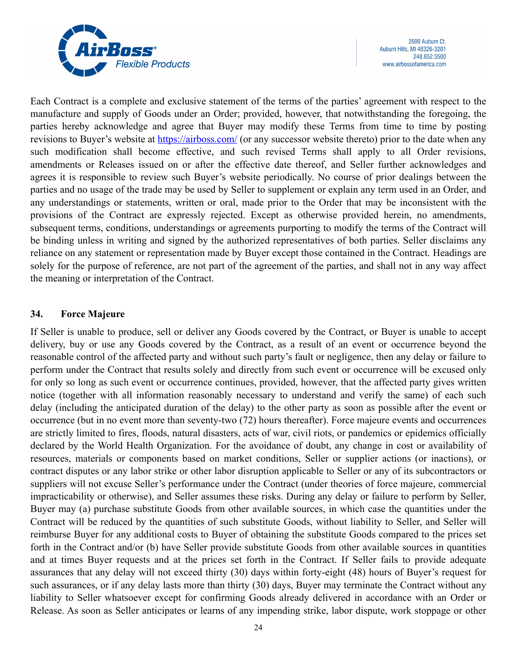

Each Contract is a complete and exclusive statement of the terms of the parties' agreement with respect to the manufacture and supply of Goods under an Order; provided, however, that notwithstanding the foregoing, the parties hereby acknowledge and agree that Buyer may modify these Terms from time to time by posting revisions to Buyer's website at <https://airboss.com/> (or any successor website thereto) prior to the date when any such modification shall become effective, and such revised Terms shall apply to all Order revisions, amendments or Releases issued on or after the effective date thereof, and Seller further acknowledges and agrees it is responsible to review such Buyer's website periodically. No course of prior dealings between the parties and no usage of the trade may be used by Seller to supplement or explain any term used in an Order, and any understandings or statements, written or oral, made prior to the Order that may be inconsistent with the provisions of the Contract are expressly rejected. Except as otherwise provided herein, no amendments, subsequent terms, conditions, understandings or agreements purporting to modify the terms of the Contract will be binding unless in writing and signed by the authorized representatives of both parties. Seller disclaims any reliance on any statement or representation made by Buyer except those contained in the Contract. Headings are solely for the purpose of reference, are not part of the agreement of the parties, and shall not in any way affect the meaning or interpretation of the Contract.

### **34. Force Majeure**

If Seller is unable to produce, sell or deliver any Goods covered by the Contract, or Buyer is unable to accept delivery, buy or use any Goods covered by the Contract, as a result of an event or occurrence beyond the reasonable control of the affected party and without such party's fault or negligence, then any delay or failure to perform under the Contract that results solely and directly from such event or occurrence will be excused only for only so long as such event or occurrence continues, provided, however, that the affected party gives written notice (together with all information reasonably necessary to understand and verify the same) of each such delay (including the anticipated duration of the delay) to the other party as soon as possible after the event or occurrence (but in no event more than seventy-two (72) hours thereafter). Force majeure events and occurrences are strictly limited to fires, floods, natural disasters, acts of war, civil riots, or pandemics or epidemics officially declared by the World Health Organization. For the avoidance of doubt, any change in cost or availability of resources, materials or components based on market conditions, Seller or supplier actions (or inactions), or contract disputes or any labor strike or other labor disruption applicable to Seller or any of its subcontractors or suppliers will not excuse Seller's performance under the Contract (under theories of force majeure, commercial impracticability or otherwise), and Seller assumes these risks. During any delay or failure to perform by Seller, Buyer may (a) purchase substitute Goods from other available sources, in which case the quantities under the Contract will be reduced by the quantities of such substitute Goods, without liability to Seller, and Seller will reimburse Buyer for any additional costs to Buyer of obtaining the substitute Goods compared to the prices set forth in the Contract and/or (b) have Seller provide substitute Goods from other available sources in quantities and at times Buyer requests and at the prices set forth in the Contract. If Seller fails to provide adequate assurances that any delay will not exceed thirty (30) days within forty-eight (48) hours of Buyer's request for such assurances, or if any delay lasts more than thirty (30) days, Buyer may terminate the Contract without any liability to Seller whatsoever except for confirming Goods already delivered in accordance with an Order or Release. As soon as Seller anticipates or learns of any impending strike, labor dispute, work stoppage or other